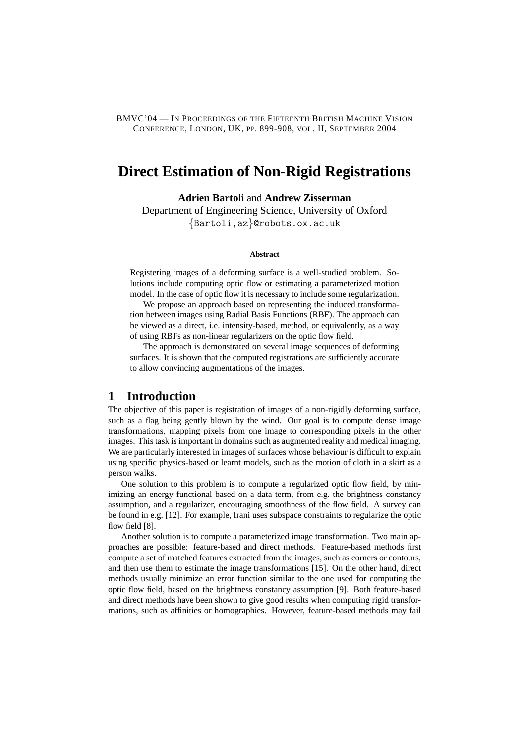BMVC'04 — IN PROCEEDINGS OF THE FIFTEENTH BRITISH MACHINE VISION CONFERENCE, LONDON, UK, PP. 899-908, VOL. II, SEPTEMBER 2004

# **Direct Estimation of Non-Rigid Registrations**

**Adrien Bartoli** and **Andrew Zisserman**

Department of Engineering Science, University of Oxford {Bartoli,az}@robots.ox.ac.uk

#### **Abstract**

Registering images of a deforming surface is a well-studied problem. Solutions include computing optic flow or estimating a parameterized motion model. In the case of optic flow it is necessary to include some regularization.

We propose an approach based on representing the induced transformation between images using Radial Basis Functions (RBF). The approach can be viewed as a direct, i.e. intensity-based, method, or equivalently, as a way of using RBFs as non-linear regularizers on the optic flow field.

The approach is demonstrated on several image sequences of deforming surfaces. It is shown that the computed registrations are sufficiently accurate to allow convincing augmentations of the images.

# **1 Introduction**

The objective of this paper is registration of images of a non-rigidly deforming surface, such as a flag being gently blown by the wind. Our goal is to compute dense image transformations, mapping pixels from one image to corresponding pixels in the other images. This task is important in domains such as augmented reality and medical imaging. We are particularly interested in images of surfaces whose behaviour is difficult to explain using specific physics-based or learnt models, such as the motion of cloth in a skirt as a person walks.

One solution to this problem is to compute a regularized optic flow field, by minimizing an energy functional based on a data term, from e.g. the brightness constancy assumption, and a regularizer, encouraging smoothness of the flow field. A survey can be found in e.g. [12]. For example, Irani uses subspace constraints to regularize the optic flow field [8].

Another solution is to compute a parameterized image transformation. Two main approaches are possible: feature-based and direct methods. Feature-based methods first compute a set of matched features extracted from the images, such as corners or contours, and then use them to estimate the image transformations [15]. On the other hand, direct methods usually minimize an error function similar to the one used for computing the optic flow field, based on the brightness constancy assumption [9]. Both feature-based and direct methods have been shown to give good results when computing rigid transformations, such as affinities or homographies. However, feature-based methods may fail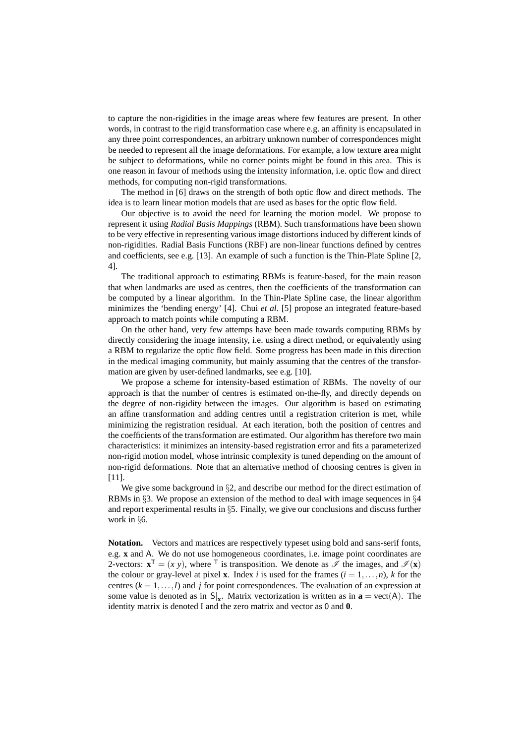to capture the non-rigidities in the image areas where few features are present. In other words, in contrast to the rigid transformation case where e.g. an affinity is encapsulated in any three point correspondences, an arbitrary unknown number of correspondences might be needed to represent all the image deformations. For example, a low texture area might be subject to deformations, while no corner points might be found in this area. This is one reason in favour of methods using the intensity information, i.e. optic flow and direct methods, for computing non-rigid transformations.

The method in [6] draws on the strength of both optic flow and direct methods. The idea is to learn linear motion models that are used as bases for the optic flow field.

Our objective is to avoid the need for learning the motion model. We propose to represent it using *Radial Basis Mappings* (RBM). Such transformations have been shown to be very effective in representing various image distortions induced by different kinds of non-rigidities. Radial Basis Functions (RBF) are non-linear functions defined by centres and coefficients, see e.g. [13]. An example of such a function is the Thin-Plate Spline [2, 4].

The traditional approach to estimating RBMs is feature-based, for the main reason that when landmarks are used as centres, then the coefficients of the transformation can be computed by a linear algorithm. In the Thin-Plate Spline case, the linear algorithm minimizes the 'bending energy' [4]. Chui *et al.* [5] propose an integrated feature-based approach to match points while computing a RBM.

On the other hand, very few attemps have been made towards computing RBMs by directly considering the image intensity, i.e. using a direct method, or equivalently using a RBM to regularize the optic flow field. Some progress has been made in this direction in the medical imaging community, but mainly assuming that the centres of the transformation are given by user-defined landmarks, see e.g. [10].

We propose a scheme for intensity-based estimation of RBMs. The novelty of our approach is that the number of centres is estimated on-the-fly, and directly depends on the degree of non-rigidity between the images. Our algorithm is based on estimating an affine transformation and adding centres until a registration criterion is met, while minimizing the registration residual. At each iteration, both the position of centres and the coefficients of the transformation are estimated. Our algorithm has therefore two main characteristics: it minimizes an intensity-based registration error and fits a parameterized non-rigid motion model, whose intrinsic complexity is tuned depending on the amount of non-rigid deformations. Note that an alternative method of choosing centres is given in [11].

We give some background in  $\S2$ , and describe our method for the direct estimation of RBMs in §3. We propose an extension of the method to deal with image sequences in §4 and report experimental results in §5. Finally, we give our conclusions and discuss further work in §6.

**Notation.** Vectors and matrices are respectively typeset using bold and sans-serif fonts, e.g. **x** and A. We do not use homogeneous coordinates, i.e. image point coordinates are 2-vectors:  $\mathbf{x}^T = (x, y)$ , where <sup>T</sup> is transposition. We denote as  $\mathscr{I}$  the images, and  $\mathscr{I}(\mathbf{x})$ the colour or gray-level at pixel **x**. Index *i* is used for the frames  $(i = 1, \ldots, n)$ , *k* for the centres  $(k = 1, \ldots, l)$  and *j* for point correspondences. The evaluation of an expression at some value is denoted as in  $S|_x$ . Matrix vectorization is written as in  $\mathbf{a} = \text{vect}(A)$ . The identity matrix is denoted I and the zero matrix and vector as 0 and **0**.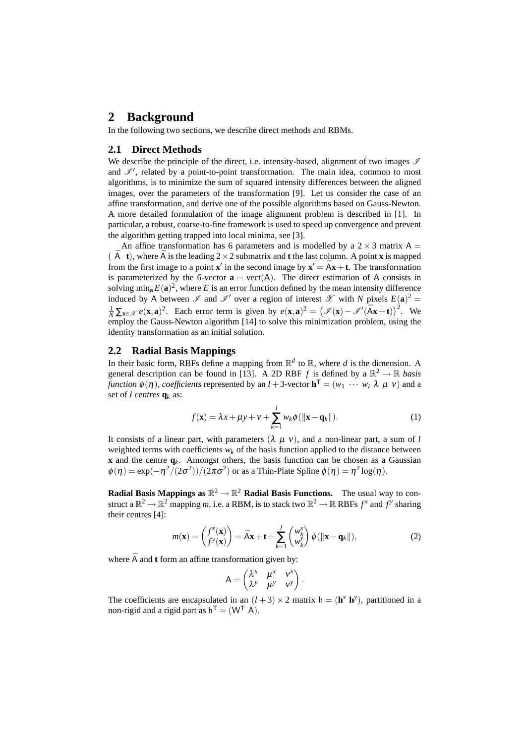# **2 Background**

In the following two sections, we describe direct methods and RBMs.

### **2.1 Direct Methods**

We describe the principle of the direct, i.e. intensity-based, alignment of two images  $\mathscr I$ and  $\mathscr{I}'$ , related by a point-to-point transformation. The main idea, common to most algorithms, is to minimize the sum of squared intensity differences between the aligned images, over the parameters of the transformation [9]. Let us consider the case of an affine transformation, and derive one of the possible algorithms based on Gauss-Newton. A more detailed formulation of the image alignment problem is described in [1]. In particular, a robust, coarse-to-fine framework is used to speed up convergence and prevent the algorithm getting trapped into local minima, see [3].

An affine transformation has 6 parameters and is modelled by a  $2 \times 3$  matrix A =  $(\overline{A} \cdot t)$ , where  $\overline{A}$  is the leading  $2 \times 2$  submatrix and **t** the last column. A point **x** is mapped from the first image to a point **x**' in the second image by  $\mathbf{x}' = \overline{A}\mathbf{x} + \mathbf{t}$ . The transformation is parameterized by the 6-vector  $\mathbf{a} = \text{vect}(A)$ . The direct estimation of A consists in solving  $\min_{\mathbf{a}} E(\mathbf{a})^2$ , where *E* is an error function defined by the mean intensity difference induced by A between  $\mathscr I$  and  $\mathscr I'$  over a region of interest  $\mathscr X$  with *N* pixels  $E(\mathbf{a})^2 =$  $\frac{1}{N} \sum_{\mathbf{x} \in \mathcal{X}} e(\mathbf{x}, \mathbf{a})^2$ . Each error term is given by  $e(\mathbf{x}, \mathbf{a})^2 = (\mathcal{I}(\mathbf{x}) - \mathcal{I}'(\bar{A}\mathbf{x} + \mathbf{t}))^2$ . We employ the Gauss-Newton algorithm [14] to solve this minimization problem, using the identity transformation as an initial solution.

#### **2.2 Radial Basis Mappings**

In their basic form, RBFs define a mapping from  $\mathbb{R}^d$  to  $\mathbb{R}$ , where *d* is the dimension. A general description can be found in [13]. A 2D RBF *f* is defined by a  $\mathbb{R}^2 \to \mathbb{R}$  *basis function*  $\phi(\eta)$ *, coefficients* represented by an *l* + 3-vector  $\mathbf{h}^T = (w_1 \cdots w_l \lambda \mu v)$  and a set of *l centres* **q***<sup>k</sup>* as:

$$
f(\mathbf{x}) = \lambda x + \mu y + v + \sum_{k=1}^{l} w_k \phi(||\mathbf{x} - \mathbf{q}_k||). \tag{1}
$$

It consists of a linear part, with parameters  $(\lambda \mu \nu)$ , and a non-linear part, a sum of *l* weighted terms with coefficients  $w_k$  of the basis function applied to the distance between **x** and the centre  $q_k$ . Amongst others, the basis function can be chosen as a Gaussian  $\phi(\eta) = \exp(-\eta^2/(2\sigma^2))/(2\pi\sigma^2)$  or as a Thin-Plate Spline  $\phi(\eta) = \eta^2 \log(\eta)$ .

**Radial Basis Mappings as**  $\mathbb{R}^2 \to \mathbb{R}^2$  **Radial Basis Functions.** The usual way to construct a  $\mathbb{R}^2 \to \mathbb{R}^2$  mapping *m*, i.e. a RBM, is to stack two  $\mathbb{R}^2 \to \mathbb{R}$  RBFs  $f^x$  and  $f^y$  sharing their centres [4]:

$$
m(\mathbf{x}) = \begin{pmatrix} f^x(\mathbf{x}) \\ f^y(\mathbf{x}) \end{pmatrix} = \bar{A}\mathbf{x} + \mathbf{t} + \sum_{k=1}^l \begin{pmatrix} w_k^x \\ w_k^y \end{pmatrix} \phi(||\mathbf{x} - \mathbf{q}_k||),
$$
 (2)

where  $\bar{A}$  and **t** form an affine transformation given by:

$$
A = \begin{pmatrix} \lambda^x & \mu^x & v^x \\ \lambda^y & \mu^y & v^y \end{pmatrix}.
$$

The coefficients are encapsulated in an  $(l+3) \times 2$  matrix  $h = (h^x h^y)$ , partitioned in a non-rigid and a rigid part as  $h^{\mathsf{T}} = (W^{\mathsf{T}} A)$ .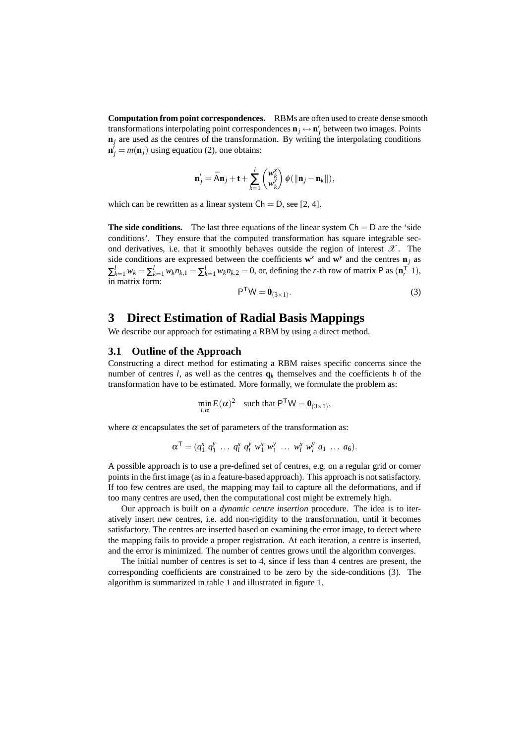**Computation from point correspondences.** RBMs are often used to create dense smooth transformations interpolating point correspondences  $\mathbf{n}_j \leftrightarrow \mathbf{n}'_j$  between two images. Points  $n_j$  are used as the centres of the transformation. By writing the interpolating conditions  $\mathbf{n}'_j = m(\mathbf{n}_j)$  using equation (2), one obtains:

$$
\mathbf{n}'_j = \bar{\mathsf{A}}\mathbf{n}_j + \mathbf{t} + \sum_{k=1}^l \begin{pmatrix} w_k^{\mathsf{x}} \\ w_k^{\mathsf{y}} \end{pmatrix} \phi(\|\mathbf{n}_j - \mathbf{n}_k\|),
$$

which can be rewritten as a linear system  $Ch = D$ , see [2, 4].

**The side conditions.** The last three equations of the linear system  $Ch = D$  are the 'side conditions'. They ensure that the computed transformation has square integrable second derivatives, i.e. that it smoothly behaves outside the region of interest  $\mathscr{X}$ . The side conditions are expressed between the coefficients  $\mathbf{w}^x$  and  $\mathbf{w}^y$  and the centres  $\mathbf{n}_j$  as  $\sum_{k=1}^{l} w_k = \sum_{k=1}^{l} w_k n_{k,1} = \sum_{k=1}^{l} w_k n_{k,2} = 0$ , or, defining the *r*-th row of matrix P as  $(\mathbf{n}_r^T 1)$ , in matrix form:

$$
P^{T}W = \mathbf{0}_{(3\times1)}.
$$
 (3)

# **3 Direct Estimation of Radial Basis Mappings**

We describe our approach for estimating a RBM by using a direct method.

#### **3.1 Outline of the Approach**

Constructing a direct method for estimating a RBM raises specific concerns since the number of centres *l*, as well as the centres  $q_k$  themselves and the coefficients h of the transformation have to be estimated. More formally, we formulate the problem as:

$$
\min_{l,\alpha} E(\alpha)^2 \quad \text{such that } \mathsf{P}^\mathsf{T}\mathsf{W} = \mathbf{0}_{(3\times 1)},
$$

where  $\alpha$  encapsulates the set of parameters of the transformation as:

$$
\alpha^{\mathsf{T}} = (q_1^x \; q_1^y \; \ldots \; q_l^x \; q_l^y \; w_1^x \; w_1^y \; \ldots \; w_l^x \; w_l^y \; a_1 \; \ldots \; a_6).
$$

A possible approach is to use a pre-defined set of centres, e.g. on a regular grid or corner points in the first image (as in a feature-based approach). This approach is not satisfactory. If too few centres are used, the mapping may fail to capture all the deformations, and if too many centres are used, then the computational cost might be extremely high.

Our approach is built on a *dynamic centre insertion* procedure. The idea is to iteratively insert new centres, i.e. add non-rigidity to the transformation, until it becomes satisfactory. The centres are inserted based on examining the error image, to detect where the mapping fails to provide a proper registration. At each iteration, a centre is inserted, and the error is minimized. The number of centres grows until the algorithm converges.

The initial number of centres is set to 4, since if less than 4 centres are present, the corresponding coefficients are constrained to be zero by the side-conditions (3). The algorithm is summarized in table 1 and illustrated in figure 1.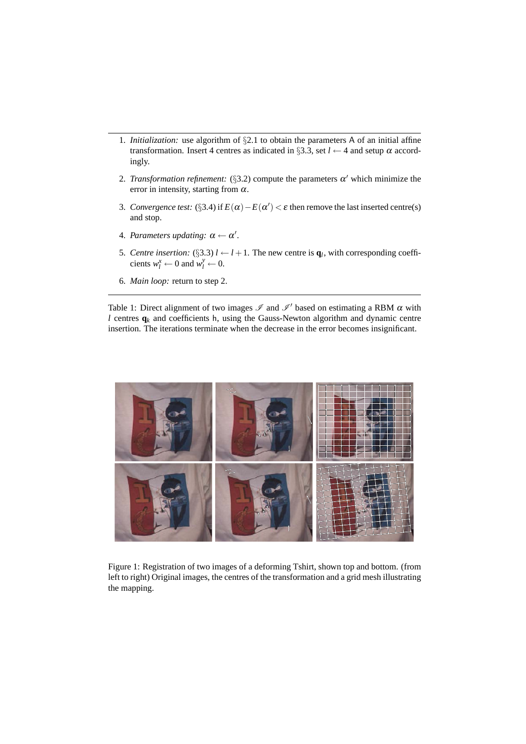- 1. *Initialization:* use algorithm of §2.1 to obtain the parameters A of an initial affine transformation. Insert 4 centres as indicated in §3.3, set  $l \leftarrow 4$  and setup  $\alpha$  accordingly.
- 2. *Transformation refinement:* (§3.2) compute the parameters  $\alpha'$  which minimize the error in intensity, starting from  $\alpha$ .
- 3. *Convergence test:* (§3.4) if  $E(\alpha) E(\alpha') < \varepsilon$  then remove the last inserted centre(s) and stop.
- 4. Parameters updating:  $\alpha \leftarrow \alpha'$ .
- 5. *Centre insertion:* (§3.3)  $l \leftarrow l + 1$ . The new centre is  $\mathbf{q}_l$ , with corresponding coefficients  $w_l^x \leftarrow 0$  and  $w_l^y \leftarrow 0$ .
- 6. *Main loop:* return to step 2.

Table 1: Direct alignment of two images  $\mathscr I$  and  $\mathscr I'$  based on estimating a RBM  $\alpha$  with *l* centres  $q_k$  and coefficients h, using the Gauss-Newton algorithm and dynamic centre insertion. The iterations terminate when the decrease in the error becomes insignificant.



Figure 1: Registration of two images of a deforming Tshirt, shown top and bottom. (from left to right) Original images, the centres of the transformation and a grid mesh illustrating the mapping.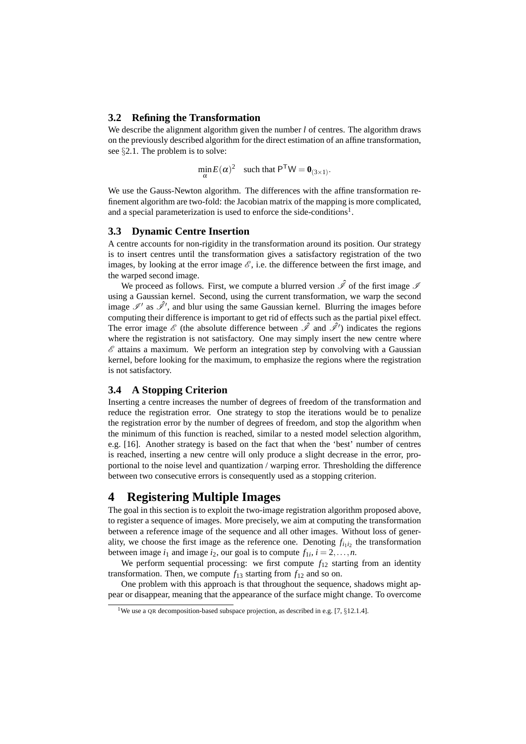#### **3.2 Refining the Transformation**

We describe the alignment algorithm given the number *l* of centres. The algorithm draws on the previously described algorithm for the direct estimation of an affine transformation, see §2.1. The problem is to solve:

$$
\min_{\alpha} E(\alpha)^2 \quad \text{such that } \mathsf{P}^\mathsf{T}\mathsf{W} = \mathbf{0}_{(3 \times 1)}.
$$

We use the Gauss-Newton algorithm. The differences with the affine transformation refinement algorithm are two-fold: the Jacobian matrix of the mapping is more complicated, and a special parameterization is used to enforce the side-conditions<sup>1</sup>.

#### **3.3 Dynamic Centre Insertion**

A centre accounts for non-rigidity in the transformation around its position. Our strategy is to insert centres until the transformation gives a satisfactory registration of the two images, by looking at the error image  $\mathscr{E}$ , i.e. the difference between the first image, and the warped second image.

We proceed as follows. First, we compute a blurred version  $\hat{I}$  of the first image  $I$ using a Gaussian kernel. Second, using the current transformation, we warp the second image  $\mathscr{I}'$  as  $\hat{\mathscr{I}}'$ , and blur using the same Gaussian kernel. Blurring the images before computing their difference is important to get rid of effects such as the partial pixel effect. The error image  $\mathscr E$  (the absolute difference between  $\hat{\mathscr I}$  and  $\hat{\mathscr I}'$ ) indicates the regions where the registration is not satisfactory. One may simply insert the new centre where  $\mathscr E$  attains a maximum. We perform an integration step by convolving with a Gaussian kernel, before looking for the maximum, to emphasize the regions where the registration is not satisfactory.

#### **3.4 A Stopping Criterion**

Inserting a centre increases the number of degrees of freedom of the transformation and reduce the registration error. One strategy to stop the iterations would be to penalize the registration error by the number of degrees of freedom, and stop the algorithm when the minimum of this function is reached, similar to a nested model selection algorithm, e.g. [16]. Another strategy is based on the fact that when the 'best' number of centres is reached, inserting a new centre will only produce a slight decrease in the error, proportional to the noise level and quantization / warping error. Thresholding the difference between two consecutive errors is consequently used as a stopping criterion.

# **4 Registering Multiple Images**

The goal in this section is to exploit the two-image registration algorithm proposed above, to register a sequence of images. More precisely, we aim at computing the transformation between a reference image of the sequence and all other images. Without loss of generality, we choose the first image as the reference one. Denoting  $f_{i_1 i_2}$  the transformation between image  $i_1$  and image  $i_2$ , our goal is to compute  $f_{1i}$ ,  $i = 2,...,n$ .

We perform sequential processing: we first compute  $f_{12}$  starting from an identity transformation. Then, we compute  $f_{13}$  starting from  $f_{12}$  and so on.

One problem with this approach is that throughout the sequence, shadows might appear or disappear, meaning that the appearance of the surface might change. To overcome

<sup>&</sup>lt;sup>1</sup>We use a QR decomposition-based subspace projection, as described in e.g. [7,  $\S 12.1.4$ ].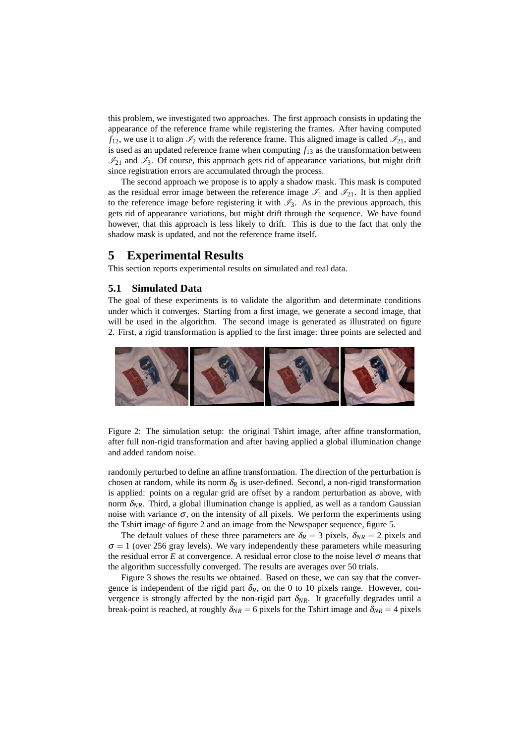this problem, we investigated two approaches. The first approach consists in updating the appearance of the reference frame while registering the frames. After having computed  $f_{12}$ , we use it to align  $\mathcal{I}_2$  with the reference frame. This aligned image is called  $\mathcal{I}_{21}$ , and is used as an updated reference frame when computing  $f_{13}$  as the transformation between  $\mathcal{I}_{21}$  and  $\mathcal{I}_3$ . Of course, this approach gets rid of appearance variations, but might drift since registration errors are accumulated through the process.

The second approach we propose is to apply a shadow mask. This mask is computed as the residual error image between the reference image  $\mathscr{I}_1$  and  $\mathscr{I}_{21}$ . It is then applied to the reference image before registering it with  $\mathcal{I}_3$ . As in the previous approach, this gets rid of appearance variations, but might drift through the sequence. We have found however, that this approach is less likely to drift. This is due to the fact that only the shadow mask is updated, and not the reference frame itself.

# **5 Experimental Results**

This section reports experimental results on simulated and real data.

#### **5.1 Simulated Data**

The goal of these experiments is to validate the algorithm and determinate conditions under which it converges. Starting from a first image, we generate a second image, that will be used in the algorithm. The second image is generated as illustrated on figure 2. First, a rigid transformation is applied to the first image: three points are selected and



Figure 2: The simulation setup: the original Tshirt image, after affine transformation, after full non-rigid transformation and after having applied a global illumination change and added random noise.

randomly perturbed to define an affine transformation. The direction of the perturbation is chosen at random, while its norm  $\delta_R$  is user-defined. Second, a non-rigid transformation is applied: points on a regular grid are offset by a random perturbation as above, with norm  $\delta_{NR}$ . Third, a global illumination change is applied, as well as a random Gaussian noise with variance  $\sigma$ , on the intensity of all pixels. We perform the experiments using the Tshirt image of figure 2 and an image from the Newspaper sequence, figure 5.

The default values of these three parameters are  $\delta_R = 3$  pixels,  $\delta_{NR} = 2$  pixels and  $\sigma = 1$  (over 256 gray levels). We vary independently these parameters while measuring the residual error *E* at convergence. A residual error close to the noise level  $\sigma$  means that the algorithm successfully converged. The results are averages over 50 trials.

Figure 3 shows the results we obtained. Based on these, we can say that the convergence is independent of the rigid part  $\delta_R$ , on the 0 to 10 pixels range. However, convergence is strongly affected by the non-rigid part  $\delta_{NR}$ . It gracefully degrades until a break-point is reached, at roughly  $\delta_{NR} = 6$  pixels for the Tshirt image and  $\delta_{NR} = 4$  pixels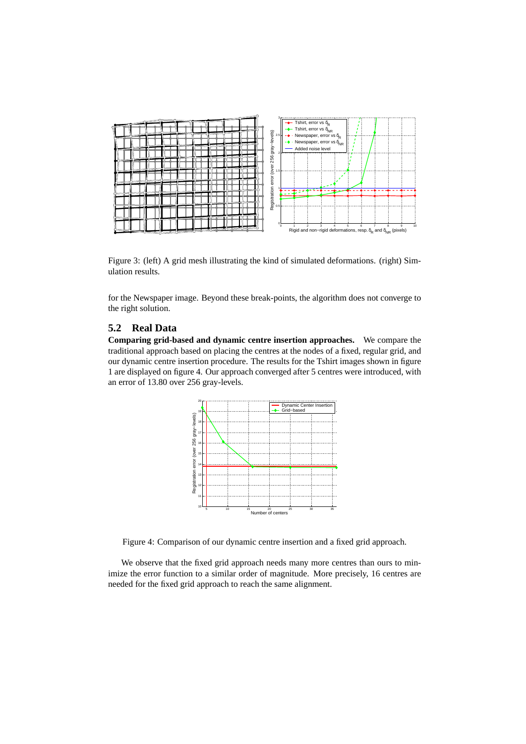

Figure 3: (left) A grid mesh illustrating the kind of simulated deformations. (right) Simulation results.

for the Newspaper image. Beyond these break-points, the algorithm does not converge to the right solution.

# **5.2 Real Data**

**Comparing grid-based and dynamic centre insertion approaches.** We compare the traditional approach based on placing the centres at the nodes of a fixed, regular grid, and our dynamic centre insertion procedure. The results for the Tshirt images shown in figure 1 are displayed on figure 4. Our approach converged after 5 centres were introduced, with an error of 13.80 over 256 gray-levels.



Figure 4: Comparison of our dynamic centre insertion and a fixed grid approach.

We observe that the fixed grid approach needs many more centres than ours to minimize the error function to a similar order of magnitude. More precisely, 16 centres are needed for the fixed grid approach to reach the same alignment.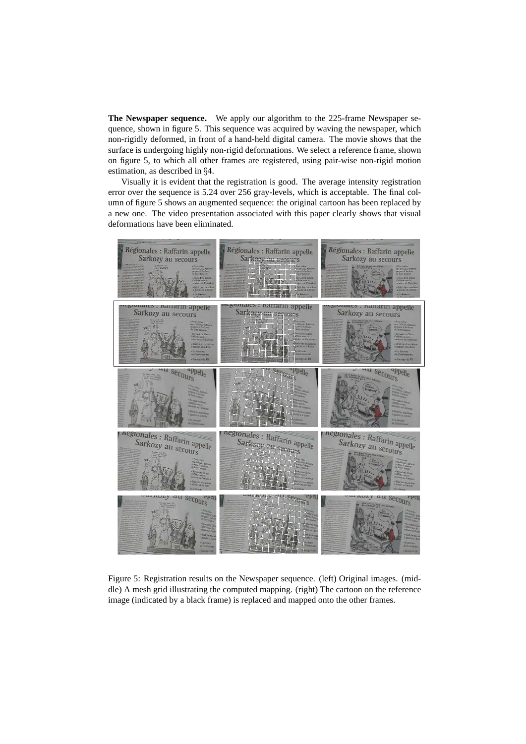**The Newspaper sequence.** We apply our algorithm to the 225-frame Newspaper sequence, shown in figure 5. This sequence was acquired by waving the newspaper, which non-rigidly deformed, in front of a hand-held digital camera. The movie shows that the surface is undergoing highly non-rigid deformations. We select a reference frame, shown on figure 5, to which all other frames are registered, using pair-wise non-rigid motion estimation, as described in §4.

Visually it is evident that the registration is good. The average intensity registration error over the sequence is 5.24 over 256 gray-levels, which is acceptable. The final column of figure 5 shows an augmented sequence: the original cartoon has been replaced by a new one. The video presentation associated with this paper clearly shows that visual deformations have been eliminated.



Figure 5: Registration results on the Newspaper sequence. (left) Original images. (middle) A mesh grid illustrating the computed mapping. (right) The cartoon on the reference image (indicated by a black frame) is replaced and mapped onto the other frames.